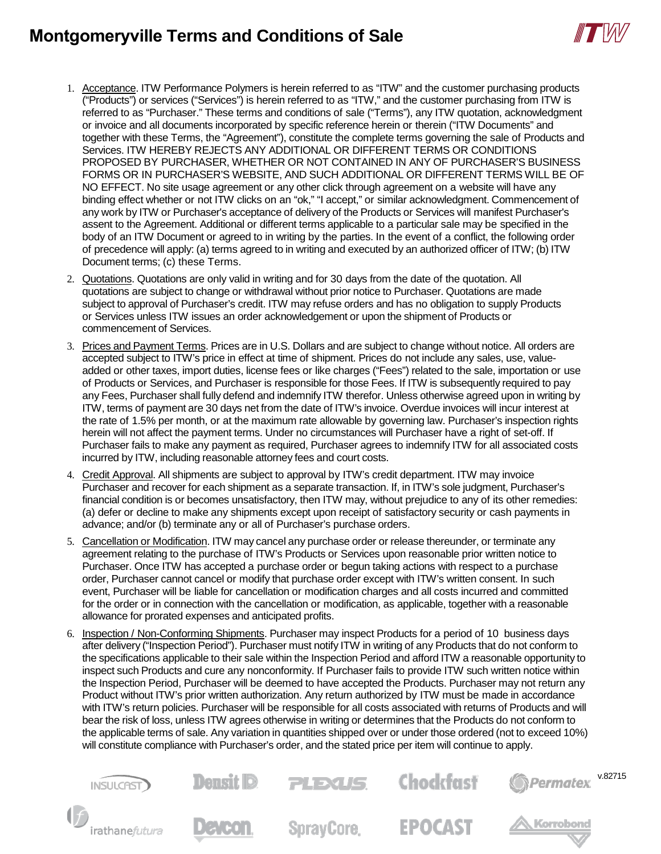## **Montgomeryville Terms and Conditions of Sale**



- 1. Acceptance. ITW Performance Polymers is herein referred to as "ITW" and the customer purchasing products ("Products") or services ("Services") is herein referred to as "ITW," and the customer purchasing from ITW is referred to as "Purchaser." These terms and conditions of sale ("Terms"), any ITW quotation, acknowledgment or invoice and all documents incorporated by specific reference herein or therein ("ITW Documents" and together with these Terms, the "Agreement"), constitute the complete terms governing the sale of Products and Services. ITW HEREBY REJECTS ANY ADDITIONAL OR DIFFERENT TERMS OR CONDITIONS PROPOSED BY PURCHASER, WHETHER OR NOT CONTAINED IN ANY OF PURCHASER'S BUSINESS FORMS OR IN PURCHASER'S WEBSITE, AND SUCH ADDITIONAL OR DIFFERENT TERMS WILL BE OF NO EFFECT. No site usage agreement or any other click through agreement on a website will have any binding effect whether or not ITW clicks on an "ok," "I accept," or similar acknowledgment. Commencement of any work by ITW or Purchaser's acceptance of delivery of the Products or Services will manifest Purchaser's assent to the Agreement. Additional or different terms applicable to a particular sale may be specified in the body of an ITW Document or agreed to in writing by the parties. In the event of a conflict, the following order of precedence will apply: (a) terms agreed to in writing and executed by an authorized officer of ITW; (b) ITW Document terms; (c) these Terms.
- 2. Quotations. Quotations are only valid in writing and for 30 days from the date of the quotation. All quotations are subject to change or withdrawal without prior notice to Purchaser. Quotations are made subject to approval of Purchaser's credit. ITW may refuse orders and has no obligation to supply Products or Services unless ITW issues an order acknowledgement or upon the shipment of Products or commencement of Services.
- 3. Prices and Payment Terms. Prices are in U.S. Dollars and are subject to change without notice. All orders are accepted subject to ITW's price in effect at time of shipment. Prices do not include any sales, use, valueadded or other taxes, import duties, license fees or like charges ("Fees") related to the sale, importation or use of Products or Services, and Purchaser is responsible for those Fees. If ITW is subsequently required to pay any Fees, Purchaser shall fully defend and indemnify ITW therefor. Unless otherwise agreed upon in writing by ITW, terms of payment are 30 days net from the date of ITW's invoice. Overdue invoices will incur interest at the rate of 1.5% per month, or at the maximum rate allowable by governing law. Purchaser's inspection rights herein will not affect the payment terms. Under no circumstances will Purchaser have a right of set-off. If Purchaser fails to make any payment as required, Purchaser agrees to indemnify ITW for all associated costs incurred by ITW, including reasonable attorney fees and court costs.
- 4. Credit Approval. All shipments are subject to approval by ITW's credit department. ITW may invoice Purchaser and recover for each shipment as a separate transaction. If, in ITW's sole judgment, Purchaser's financial condition is or becomes unsatisfactory, then ITW may, without prejudice to any of its other remedies: (a) defer or decline to make any shipments except upon receipt of satisfactory security or cash payments in advance; and/or (b) terminate any or all of Purchaser's purchase orders.
- 5. Cancellation or Modification. ITW may cancel any purchase order or release thereunder, or terminate any agreement relating to the purchase of ITW's Products or Services upon reasonable prior written notice to Purchaser. Once ITW has accepted a purchase order or begun taking actions with respect to a purchase order, Purchaser cannot cancel or modify that purchase order except with ITW's written consent. In such event, Purchaser will be liable for cancellation or modification charges and all costs incurred and committed for the order or in connection with the cancellation or modification, as applicable, together with a reasonable allowance for prorated expenses and anticipated profits.
- 6. Inspection / Non-Conforming Shipments. Purchaser may inspect Products for a period of 10 business days after delivery ("Inspection Period"). Purchaser must notify ITW in writing of any Products that do not conform to the specifications applicable to their sale within the Inspection Period and afford ITW a reasonable opportunity to inspect such Products and cure any nonconformity. If Purchaser fails to provide ITW such written notice within the Inspection Period, Purchaser will be deemed to have accepted the Products. Purchaser may not return any Product without ITW's prior written authorization. Any return authorized by ITW must be made in accordance with ITW's return policies. Purchaser will be responsible for all costs associated with returns of Products and will bear the risk of loss, unless ITW agrees otherwise in writing or determines that the Products do not conform to the applicable terms of sale. Any variation in quantities shipped over or under those ordered (not to exceed 10%) will constitute compliance with Purchaser's order, and the stated price per item will continue to apply.

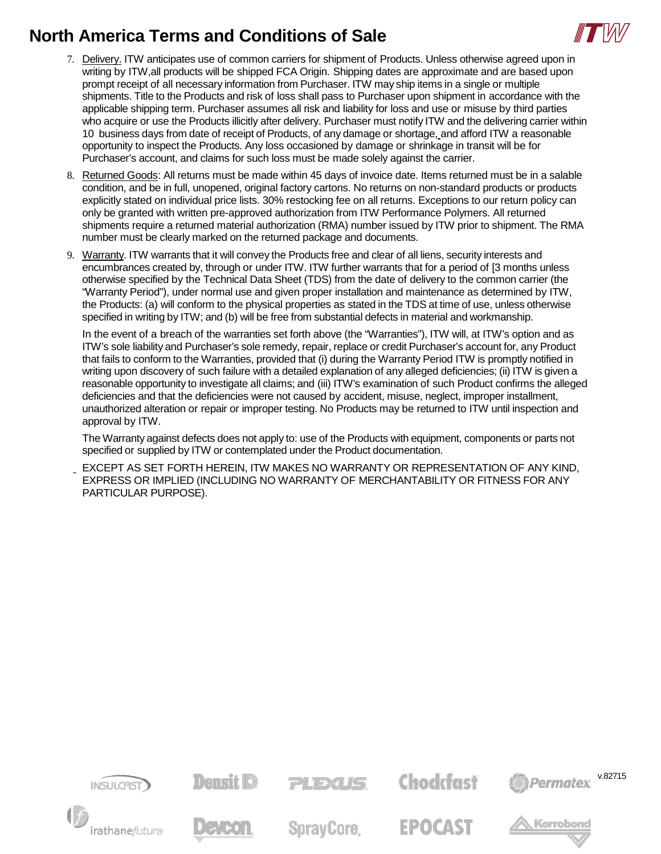

- 7. Delivery. ITW anticipates use of common carriers for shipment of Products. Unless otherwise agreed upon in writing by ITW,all products will be shipped FCA Origin. Shipping dates are approximate and are based upon prompt receipt of all necessary information from Purchaser. ITW may ship items in a single or multiple shipments. Title to the Products and risk of loss shall pass to Purchaser upon shipment in accordance with the applicable shipping term. Purchaser assumes all risk and liability for loss and use or misuse by third parties who acquire or use the Products illicitly after delivery. Purchaser must notify ITW and the delivering carrier within 10 business days from date of receipt of Products, of any damage or shortage, and afford ITW a reasonable opportunity to inspect the Products. Any loss occasioned by damage or shrinkage in transit will be for Purchaser's account, and claims for such loss must be made solely against the carrier.
- 8. Returned Goods: All returns must be made within 45 days of invoice date. Items returned must be in a salable condition, and be in full, unopened, original factory cartons. No returns on non-standard products or products explicitly stated on individual price lists. 30% restocking fee on all returns. Exceptions to our return policy can only be granted with written pre-approved authorization from ITW Performance Polymers. All returned shipments require a returned material authorization (RMA) number issued by ITW prior to shipment. The RMA number must be clearly marked on the returned package and documents.
- 9. Warranty. ITW warrants that it will convey the Products free and clear of all liens, security interests and encumbrances created by, through or under ITW. ITW further warrants that for a period of [3 months unless otherwise specified by the Technical Data Sheet (TDS) from the date of delivery to the common carrier (the "Warranty Period"), under normal use and given proper installation and maintenance as determined by ITW, the Products: (a) will conform to the physical properties as stated in the TDS at time of use, unless otherwise specified in writing by ITW; and (b) will be free from substantial defects in material and workmanship.

In the event of a breach of the warranties set forth above (the "Warranties"), ITW will, at ITW's option and as ITW's sole liability and Purchaser's sole remedy, repair, replace or credit Purchaser's account for, any Product that fails to conform to the Warranties, provided that (i) during the Warranty Period ITW is promptly notified in writing upon discovery of such failure with a detailed explanation of any alleged deficiencies; (ii) ITW is given a reasonable opportunity to investigate all claims; and (iii) ITW's examination of such Product confirms the alleged deficiencies and that the deficiencies were not caused by accident, misuse, neglect, improper installment, unauthorized alteration or repair or improper testing. No Products may be returned to ITW until inspection and approval by ITW.

The Warranty against defects does not apply to: use of the Products with equipment, components or parts not specified or supplied by ITW or contemplated under the Product documentation.

EXCEPT AS SET FORTH HEREIN, ITW MAKES NO WARRANTY OR REPRESENTATION OF ANY KIND, EXPRESS OR IMPLIED (INCLUDING NO WARRANTY OF MERCHANTABILITY OR FITNESS FOR ANY PARTICULAR PURPOSE).

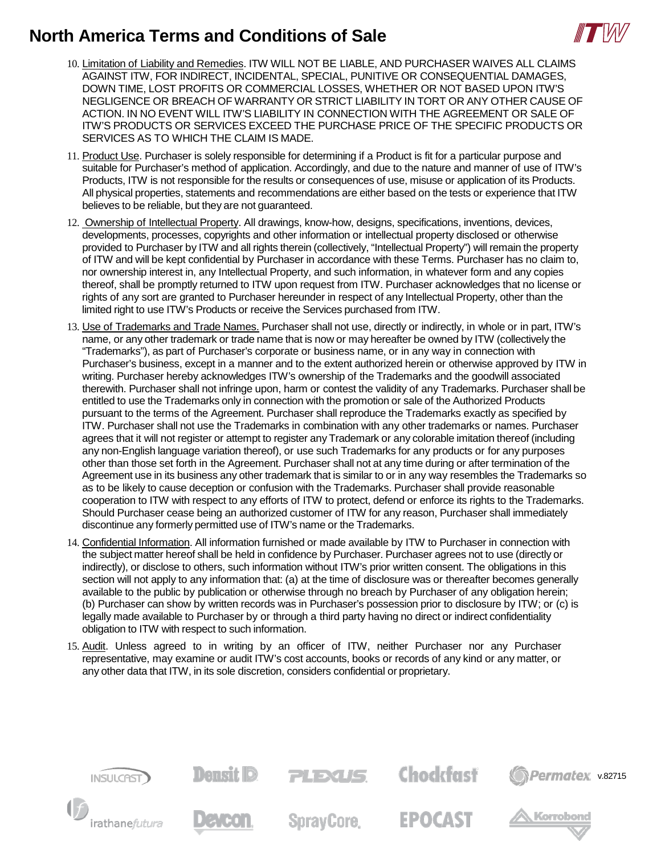

- 10. Limitation of Liability and Remedies. ITW WILL NOT BE LIABLE, AND PURCHASER WAIVES ALL CLAIMS AGAINST ITW, FOR INDIRECT, INCIDENTAL, SPECIAL, PUNITIVE OR CONSEQUENTIAL DAMAGES, DOWN TIME, LOST PROFITS OR COMMERCIAL LOSSES, WHETHER OR NOT BASED UPON ITW'S NEGLIGENCE OR BREACH OF WARRANTY OR STRICT LIABILITY IN TORT OR ANY OTHER CAUSE OF ACTION. IN NO EVENT WILL ITW'S LIABILITY IN CONNECTION WITH THE AGREEMENT OR SALE OF ITW'S PRODUCTS OR SERVICES EXCEED THE PURCHASE PRICE OF THE SPECIFIC PRODUCTS OR SERVICES AS TO WHICH THE CLAIM IS MADE.
- 11. Product Use. Purchaser is solely responsible for determining if a Product is fit for a particular purpose and suitable for Purchaser's method of application. Accordingly, and due to the nature and manner of use of ITW's Products, ITW is not responsible for the results or consequences of use, misuse or application of its Products. All physical properties, statements and recommendations are either based on the tests or experience that ITW believes to be reliable, but they are not guaranteed.
- 12. Ownership of Intellectual Property. All drawings, know-how, designs, specifications, inventions, devices, developments, processes, copyrights and other information or intellectual property disclosed or otherwise provided to Purchaser by ITW and all rights therein (collectively, "Intellectual Property") will remain the property of ITW and will be kept confidential by Purchaser in accordance with these Terms. Purchaser has no claim to, nor ownership interest in, any Intellectual Property, and such information, in whatever form and any copies thereof, shall be promptly returned to ITW upon request from ITW. Purchaser acknowledges that no license or rights of any sort are granted to Purchaser hereunder in respect of any Intellectual Property, other than the limited right to use ITW's Products or receive the Services purchased from ITW.
- 13. Use of Trademarks and Trade Names. Purchaser shall not use, directly or indirectly, in whole or in part, ITW's name, or any other trademark or trade name that is now or may hereafter be owned by ITW (collectively the "Trademarks"), as part of Purchaser's corporate or business name, or in any way in connection with Purchaser's business, except in a manner and to the extent authorized herein or otherwise approved by ITW in writing. Purchaser hereby acknowledges ITW's ownership of the Trademarks and the goodwill associated therewith. Purchaser shall not infringe upon, harm or contest the validity of any Trademarks. Purchaser shall be entitled to use the Trademarks only in connection with the promotion or sale of the Authorized Products pursuant to the terms of the Agreement. Purchaser shall reproduce the Trademarks exactly as specified by ITW. Purchaser shall not use the Trademarks in combination with any other trademarks or names. Purchaser agrees that it will not register or attempt to register any Trademark or any colorable imitation thereof (including any non-English language variation thereof), or use such Trademarks for any products or for any purposes other than those set forth in the Agreement. Purchaser shall not at any time during or after termination of the Agreement use in its business any other trademark that is similar to or in any way resembles the Trademarks so as to be likely to cause deception or confusion with the Trademarks. Purchaser shall provide reasonable cooperation to ITW with respect to any efforts of ITW to protect, defend or enforce its rights to the Trademarks. Should Purchaser cease being an authorized customer of ITW for any reason, Purchaser shall immediately discontinue any formerly permitted use of ITW's name or the Trademarks.
- 14. Confidential Information. All information furnished or made available by ITW to Purchaser in connection with the subject matter hereof shall be held in confidence by Purchaser. Purchaser agrees not to use (directly or indirectly), or disclose to others, such information without ITW's prior written consent. The obligations in this section will not apply to any information that: (a) at the time of disclosure was or thereafter becomes generally available to the public by publication or otherwise through no breach by Purchaser of any obligation herein; (b) Purchaser can show by written records was in Purchaser's possession prior to disclosure by ITW; or (c) is legally made available to Purchaser by or through a third party having no direct or indirect confidentiality obligation to ITW with respect to such information.
- 15. Audit. Unless agreed to in writing by an officer of ITW, neither Purchaser nor any Purchaser representative, may examine or audit ITW's cost accounts, books or records of any kind or any matter, or any other data that ITW, in its sole discretion, considers confidential or proprietary.

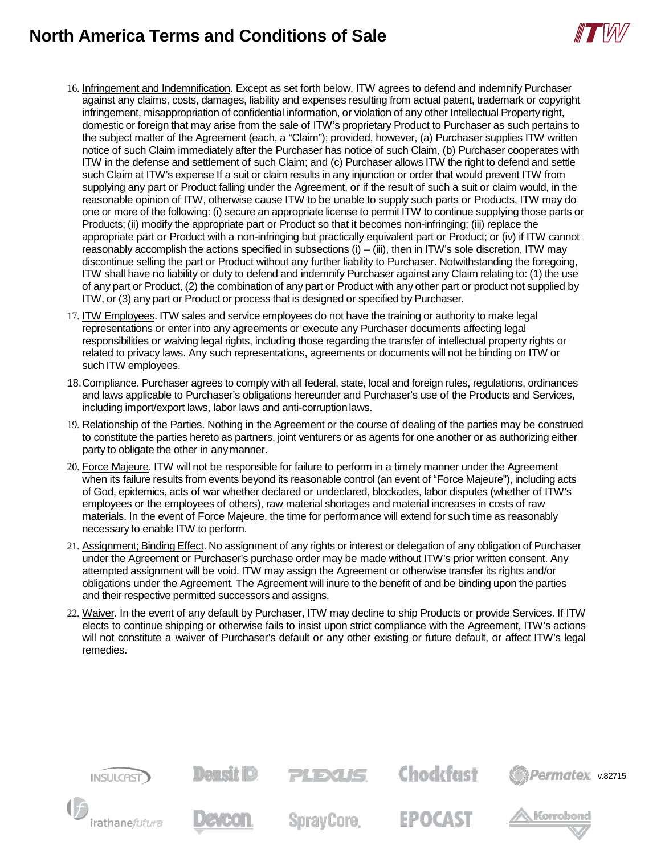

- 16. Infringement and Indemnification. Except as set forth below, ITW agrees to defend and indemnify Purchaser against any claims, costs, damages, liability and expenses resulting from actual patent, trademark or copyright infringement, misappropriation of confidential information, or violation of any other Intellectual Property right, domestic or foreign that may arise from the sale of ITW's proprietary Product to Purchaser as such pertains to the subject matter of the Agreement (each, a "Claim"); provided, however, (a) Purchaser supplies ITW written notice of such Claim immediately after the Purchaser has notice of such Claim, (b) Purchaser cooperates with ITW in the defense and settlement of such Claim; and (c) Purchaser allows ITW the right to defend and settle such Claim at ITW's expense If a suit or claim results in any injunction or order that would prevent ITW from supplying any part or Product falling under the Agreement, or if the result of such a suit or claim would, in the reasonable opinion of ITW, otherwise cause ITW to be unable to supply such parts or Products, ITW may do one or more of the following: (i) secure an appropriate license to permit ITW to continue supplying those parts or Products; (ii) modify the appropriate part or Product so that it becomes non-infringing; (iii) replace the appropriate part or Product with a non-infringing but practically equivalent part or Product; or (iv) if ITW cannot reasonably accomplish the actions specified in subsections  $(i) - (iii)$ , then in ITW's sole discretion, ITW may discontinue selling the part or Product without any further liability to Purchaser. Notwithstanding the foregoing, ITW shall have no liability or duty to defend and indemnify Purchaser against any Claim relating to: (1) the use of any part or Product, (2) the combination of any part or Product with any other part or product not supplied by ITW, or (3) any part or Product or process that is designed or specified by Purchaser.
- 17. ITW Employees. ITW sales and service employees do not have the training or authority to make legal representations or enter into any agreements or execute any Purchaser documents affecting legal responsibilities or waiving legal rights, including those regarding the transfer of intellectual property rights or related to privacy laws. Any such representations, agreements or documents will not be binding on ITW or such ITW employees.
- 18. Compliance. Purchaser agrees to comply with all federal, state, local and foreign rules, regulations, ordinances and laws applicable to Purchaser's obligations hereunder and Purchaser's use of the Products and Services, including import/export laws, labor laws and anti-corruptionlaws.
- 19. Relationship of the Parties. Nothing in the Agreement or the course of dealing of the parties may be construed to constitute the parties hereto as partners, joint venturers or as agents for one another or as authorizing either party to obligate the other in anymanner.
- 20. Force Majeure. ITW will not be responsible for failure to perform in a timely manner under the Agreement when its failure results from events beyond its reasonable control (an event of "Force Majeure"), including acts of God, epidemics, acts of war whether declared or undeclared, blockades, labor disputes (whether of ITW's employees or the employees of others), raw material shortages and material increases in costs of raw materials. In the event of Force Majeure, the time for performance will extend for such time as reasonably necessary to enable ITW to perform.
- 21. Assignment; Binding Effect. No assignment of any rights or interest or delegation of any obligation of Purchaser under the Agreement or Purchaser's purchase order may be made without ITW's prior written consent. Any attempted assignment will be void. ITW may assign the Agreement or otherwise transfer its rights and/or obligations under the Agreement. The Agreement will inure to the benefit of and be binding upon the parties and their respective permitted successors and assigns.
- 22. Waiver. In the event of any default by Purchaser, ITW may decline to ship Products or provide Services. If ITW elects to continue shipping or otherwise fails to insist upon strict compliance with the Agreement, ITW's actions will not constitute a waiver of Purchaser's default or any other existing or future default, or affect ITW's legal remedies.